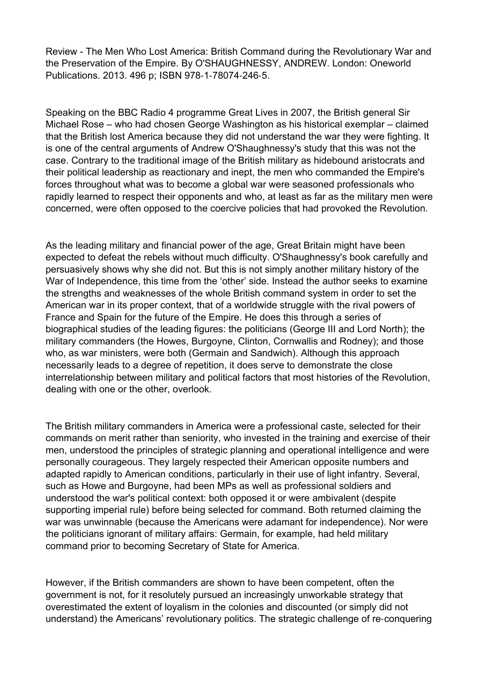Review - The Men Who Lost America: British Command during the Revolutionary War and the Preservation of the Empire. By O'SHAUGHNESSY, ANDREW. London: Oneworld Publications. 2013. 496 p; ISBN 978‐1‐78074‐246‐5.

Speaking on the BBC Radio 4 programme Great Lives in 2007, the British general Sir Michael Rose – who had chosen George Washington as his historical exemplar – claimed that the British lost America because they did not understand the war they were fighting. It is one of the central arguments of Andrew O'Shaughnessy's study that this was not the case. Contrary to the traditional image of the British military as hidebound aristocrats and their political leadership as reactionary and inept, the men who commanded the Empire's forces throughout what was to become a global war were seasoned professionals who rapidly learned to respect their opponents and who, at least as far as the military men were concerned, were often opposed to the coercive policies that had provoked the Revolution.

As the leading military and financial power of the age, Great Britain might have been expected to defeat the rebels without much difficulty. O'Shaughnessy's book carefully and persuasively shows why she did not. But this is not simply another military history of the War of Independence, this time from the 'other' side. Instead the author seeks to examine the strengths and weaknesses of the whole British command system in order to set the American war in its proper context, that of a worldwide struggle with the rival powers of France and Spain for the future of the Empire. He does this through a series of biographical studies of the leading figures: the politicians (George III and Lord North); the military commanders (the Howes, Burgoyne, Clinton, Cornwallis and Rodney); and those who, as war ministers, were both (Germain and Sandwich). Although this approach necessarily leads to a degree of repetition, it does serve to demonstrate the close interrelationship between military and political factors that most histories of the Revolution, dealing with one or the other, overlook.

The British military commanders in America were a professional caste, selected for their commands on merit rather than seniority, who invested in the training and exercise of their men, understood the principles of strategic planning and operational intelligence and were personally courageous. They largely respected their American opposite numbers and adapted rapidly to American conditions, particularly in their use of light infantry. Several, such as Howe and Burgoyne, had been MPs as well as professional soldiers and understood the war's political context: both opposed it or were ambivalent (despite supporting imperial rule) before being selected for command. Both returned claiming the war was unwinnable (because the Americans were adamant for independence). Nor were the politicians ignorant of military affairs: Germain, for example, had held military command prior to becoming Secretary of State for America.

However, if the British commanders are shown to have been competent, often the government is not, for it resolutely pursued an increasingly unworkable strategy that overestimated the extent of loyalism in the colonies and discounted (or simply did not understand) the Americans' revolutionary politics. The strategic challenge of re‐conquering